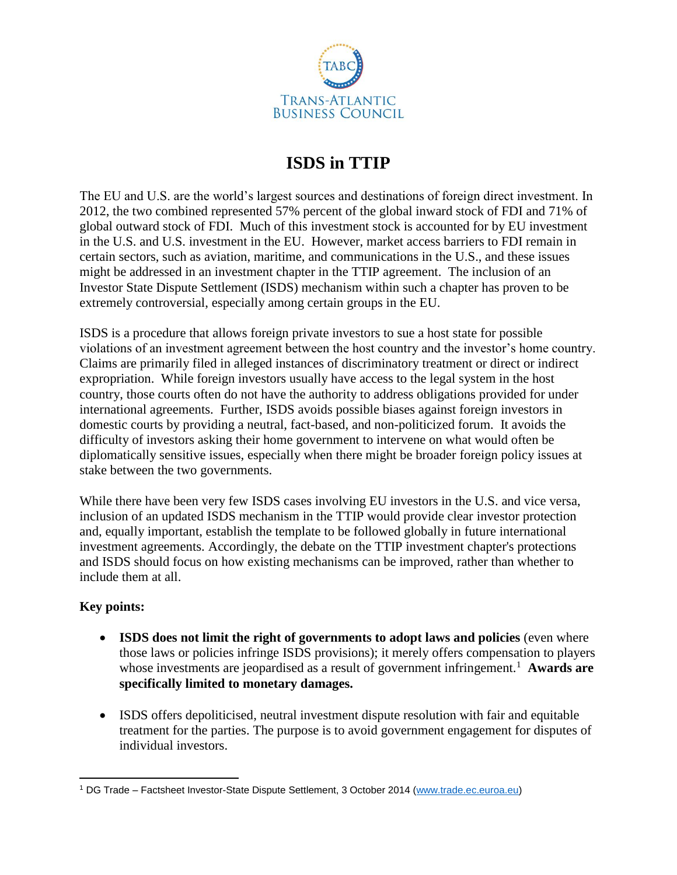

## **ISDS in TTIP**

The EU and U.S. are the world's largest sources and destinations of foreign direct investment. In 2012, the two combined represented 57% percent of the global inward stock of FDI and 71% of global outward stock of FDI. Much of this investment stock is accounted for by EU investment in the U.S. and U.S. investment in the EU. However, market access barriers to FDI remain in certain sectors, such as aviation, maritime, and communications in the U.S., and these issues might be addressed in an investment chapter in the TTIP agreement. The inclusion of an Investor State Dispute Settlement (ISDS) mechanism within such a chapter has proven to be extremely controversial, especially among certain groups in the EU.

ISDS is a procedure that allows foreign private investors to sue a host state for possible violations of an investment agreement between the host country and the investor's home country. Claims are primarily filed in alleged instances of discriminatory treatment or direct or indirect expropriation. While foreign investors usually have access to the legal system in the host country, those courts often do not have the authority to address obligations provided for under international agreements. Further, ISDS avoids possible biases against foreign investors in domestic courts by providing a neutral, fact-based, and non-politicized forum. It avoids the difficulty of investors asking their home government to intervene on what would often be diplomatically sensitive issues, especially when there might be broader foreign policy issues at stake between the two governments.

While there have been very few ISDS cases involving EU investors in the U.S. and vice versa, inclusion of an updated ISDS mechanism in the TTIP would provide clear investor protection and, equally important, establish the template to be followed globally in future international investment agreements. Accordingly, the debate on the TTIP investment chapter's protections and ISDS should focus on how existing mechanisms can be improved, rather than whether to include them at all.

## **Key points:**

- **ISDS does not limit the right of governments to adopt laws and policies** (even where those laws or policies infringe ISDS provisions); it merely offers compensation to players whose investments are jeopardised as a result of government infringement.<sup>1</sup> **Awards are specifically limited to monetary damages.**
- ISDS offers depoliticised, neutral investment dispute resolution with fair and equitable treatment for the parties. The purpose is to avoid government engagement for disputes of individual investors.

 $\overline{\phantom{a}}$ <sup>1</sup> DG Trade – Factsheet Investor-State Dispute Settlement, 3 October 2014 [\(www.trade.ec.euroa.eu\)](http://www.trade.ec.euroa.eu/)